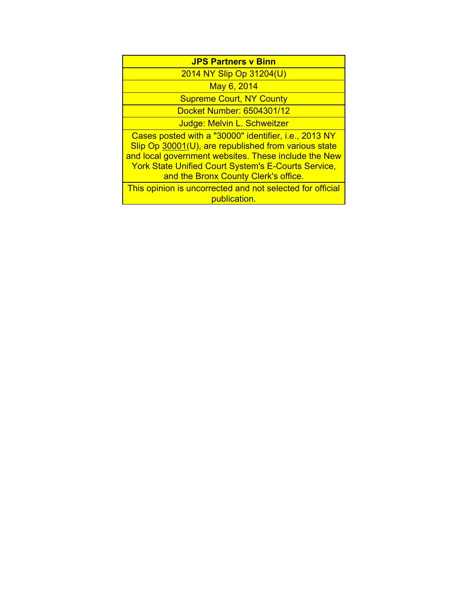| <b>JPS Partners v Binn</b>                                                                                                                                                                                                                                                  |  |  |
|-----------------------------------------------------------------------------------------------------------------------------------------------------------------------------------------------------------------------------------------------------------------------------|--|--|
| 2014 NY Slip Op 31204(U)                                                                                                                                                                                                                                                    |  |  |
| May 6, 2014                                                                                                                                                                                                                                                                 |  |  |
| <b>Supreme Court, NY County</b>                                                                                                                                                                                                                                             |  |  |
| Docket Number: 6504301/12                                                                                                                                                                                                                                                   |  |  |
| Judge: Melvin L. Schweitzer                                                                                                                                                                                                                                                 |  |  |
| Cases posted with a "30000" identifier, i.e., 2013 NY<br>Slip Op 30001(U), are republished from various state<br>and local government websites. These include the New<br><b>York State Unified Court System's E-Courts Service,</b><br>and the Bronx County Clerk's office. |  |  |
| This opinion is uncorrected and not selected for official<br>publication.                                                                                                                                                                                                   |  |  |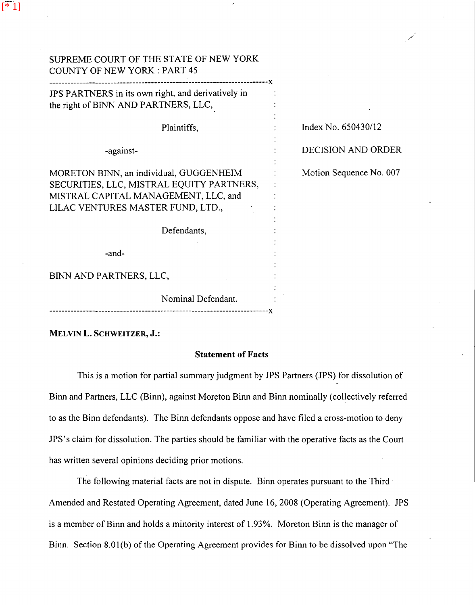| SUPREME COURT OF THE STATE OF NEW YORK<br><b>COUNTY OF NEW YORK: PART 45</b>                                                                                      |                           |
|-------------------------------------------------------------------------------------------------------------------------------------------------------------------|---------------------------|
| JPS PARTNERS in its own right, and derivatively in<br>the right of BINN AND PARTNERS, LLC,                                                                        |                           |
| Plaintiffs,                                                                                                                                                       | Index No. 650430/12       |
| -against-                                                                                                                                                         | <b>DECISION AND ORDER</b> |
| MORETON BINN, an individual, GUGGENHEIM<br>SECURITIES, LLC, MISTRAL EQUITY PARTNERS,<br>MISTRAL CAPITAL MANAGEMENT, LLC, and<br>LILAC VENTURES MASTER FUND, LTD., | Motion Sequence No. 007   |
| Defendants,                                                                                                                                                       |                           |
| -and-                                                                                                                                                             |                           |
| BINN AND PARTNERS, LLC,                                                                                                                                           |                           |
| Nominal Defendant.                                                                                                                                                |                           |

/ /

MELVIN L. SCHWEITZER, J.:

 $[$ \* $1]$ 

## Statement of Facts

This is a motion for partial summary judgment by JPS Partners (JPS) for dissolution of Binn and Partners, LLC (Binn), against Moreton Binn and Binn nominally (collectively referred to as the Binn defendants). The Binn defendants oppose and have filed a cross-motion to deny JPS's claim for dissolution. The parties should be familiar with the operative facts as the Court has written several opinions deciding prior motions.

The following material facts are not in dispute. Binn operates pursuant to the Third · Amended and Restated Operating Agreement, dated June 16, 2008 (Operating Agreement). JPS is a member of Binn and holds a minority interest of 1.93%. Moreton Binn is the manager of Binn. Section 8.0l(b) of the Operating Agreement provides for Binn to be dissolved upon "The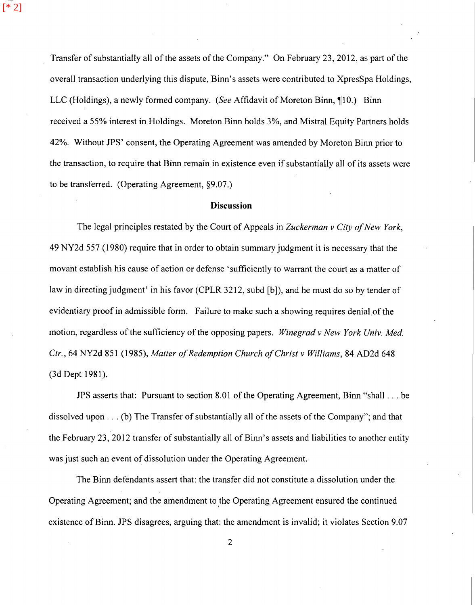Transfer of substantially all of the assets of the Company." On February 23, 2012, as part of the overall transaction underlying this dispute, Binn's assets were contributed to XpresSpa Holdings, LLC (Holdings), a newly formed company. *(See Affidavit of Moreton Binn*, 10.) Binn received a 55% interest in Holdings. Moreton Binn holds 3%, and Mistral Equity Partners holds 42%. Without JPS' consent, the Operating Agreement was amended by Moreton Binn prior to the transaction, to require that Binn remain in existence even if substantially all of its assets were to be transferred. (Operating Agreement, §9.07.)

[\* 2]

## **Discussion**

The legal principles restated by the Court of Appeals in *Zuckerman v City of New York,*  49 NY2d 557 (1980) require that in order to obtain summary judgment it is necessary that the movant establish his cause of action or defense 'sufficiently to warrant the court as a matter of law in directing judgment' in his favor (CPLR 3212, subd [b]), and he must do so by tender of evidentiary proof in admissible form. Failure to make such a showing requires denial of the motion, regardless of the sufficiency of the opposing papers. *Winegrad v New York Univ. Med. Ctr.,* 64 NY2d 851 (1985), *Matter of Redemption Church of Christ v Williams,* 84 AD2d 648 (3d Dept 1981).

JPS asserts that: Pursuant to section 8.01 of the Operating Agreement, Binn "shall ... be dissolved upon ... (b) The Transfer of substantially all of the assets of the Company"; and that the February 23, 2012 transfer of substantially all of Binn's assets and liabilities to another entity was just such an event of dissolution under the Operating Agreement.

The Binn defendants assert that: the transfer did not constitute a dissolution under the Operating Agreement; and the amendment to the Operating Agreement ensured the continued ) existence of Binn. JPS disagrees, arguing that: the amendment is invalid; it violates Section 9.07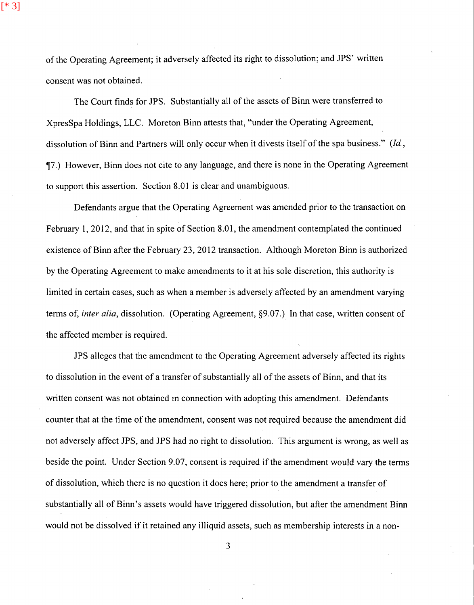[\* 3]

of the Operating Agreement; it adversely affected its right to dissolution; and JPS' written consent was not obtained.

The Court finds for JPS. Substantially all of the assets of Binn were transferred to XpresSpa Holdings, LLC. Moreton Binn attests that, "under the Operating Agreement, dissolution of Binn and Partners will only occur when it divests itself of the spa business." *(Id.,*  -J7.) However, Binn does not cite to any language, and there is none in the Operating Agreement to support this assertion. Section 8.01 is clear and unambiguous.

Defendants argue that the Operating Agreement was amended prior to the transaction on February 1, 2012, and that in spite of Section 8.01, the amendment contemplated the continued existence of Binn after the February 23, 2012 transaction. Although Moreton Binn is authorized by the Operating Agreement to make amendments to it at his sole discretion, this authority is limited in certain cases, such as when a member is adversely affected by an amendment varying terms of, *inter alia,* dissolution. (Operating Agreement, §9.07.) In that case, written consent of the affected member is required.

JPS alleges that the amendment to the Operating Agreement adversely affected its rights to dissolution in the event of a transfer of substantially all of the assets of Binn, and that its written consent was not obtained in connection with adopting this amendment. Defendants counter that at the time of the amendment, consent was not required because the amendment did not adversely affect JPS, and JPS had no right to dissolution. This argument is wrong, as well as beside the point. Under Section 9.07, consent is required if the amendment would vary the terms of dissolution, which there is no question it does here; prior to the amendment a transfer of substantially all of Binn's assets would have triggered dissolution, but after the amendment Binn would not be dissolved if it retained any illiquid assets, such as membership interests in a non-

3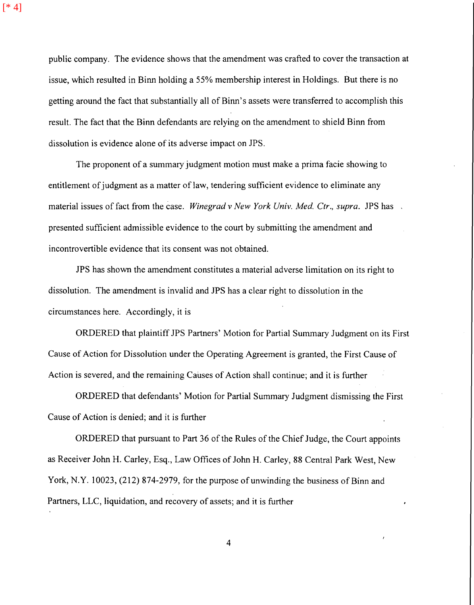[\* 4]

public company. The evidence shows that the amendment was crafted to cover the transaction at issue, which resulted in Binn holding a 55% membership interest in Holdings. But there is no getting around the fact that substantially all of Binn' s assets were transferred to accomplish this result. The fact that the Binn defendants are relying on the amendment to shield Binn from dissolution is evidence alone of its adverse impact on JPS.

The proponent of a summary judgment motion must make a prima facie showing to entitlement of judgment as a matter of law, tendering sufficient evidence to eliminate any material issues of fact from the case. *Winegrad v New York Univ. Med. Ctr., supra.* JPS has presented sufficient admissible evidence to the court by submitting the amendment and incontrovertible evidence that its consent was not obtained.

JPS has shown the amendment constitutes a material adverse limitation on its right to dissolution. The amendment is invalid and JPS has a clear right to dissolution in the circumstances here. Accordingly, it is

ORDERED that plaintiff JPS Partners' Motion for Partial Summary Judgment on its First Cause of Action for Dissolution under the Operating Agreement is granted, the First Cause of Action is severed, and the remaining Causes of Action shall continue; and it is further

ORDERED that defendants' Motion for Partial Summary Judgment dismissing the First Cause of Action is denied; and it is further

ORDERED that pursuant to Part 36 of the Rules of the Chief Judge, the Court appoints as Receiver John H. Carley, Esq., Law Offices of John H. Carley, 88 Central Park West, New York, N.Y. 10023, (212) 874-2979, for the purpose of unwinding the business of Binn and Partners, LLC, liquidation, and recovery of assets; and it is further

4